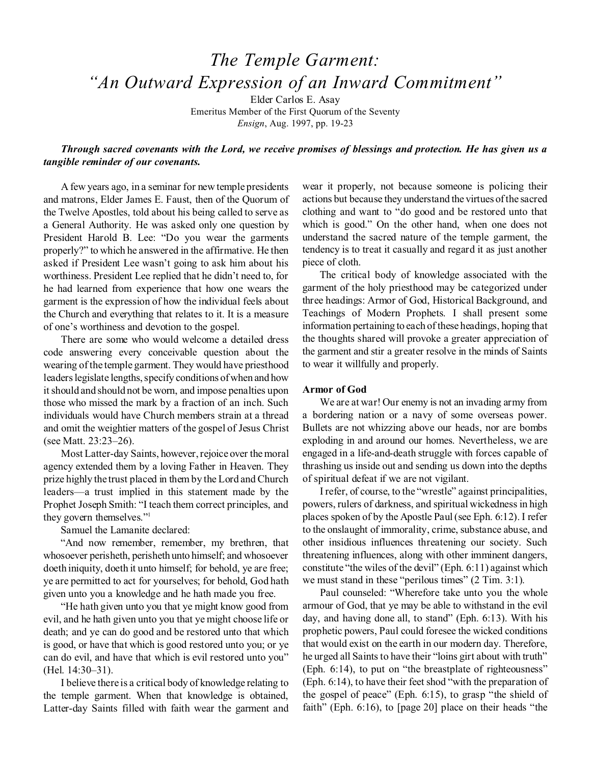# *The Temple Garment: "An Outward Expression of an Inward Commitment"*

Elder Carlos E. Asay Emeritus Member of the First Quorum of the Seventy *Ensign*, Aug. 1997, pp. 19-23

# *Through sacred covenants with the Lord, we receive promises of blessings and protection. He has given us a tangible reminder of our covenants.*

A few years ago, in a seminar for new temple presidents and matrons, Elder James E. Faust, then of the Quorum of the Twelve Apostles, told about his being called to serve as a General Authority. He was asked only one question by President Harold B. Lee: "Do you wear the garments properly?" to which he answered in the affirmative. He then asked if President Lee wasn't going to ask him about his worthiness. President Lee replied that he didn't need to, for he had learned from experience that how one wears the garment is the expression of how the individual feels about the Church and everything that relates to it. It is a measure of one's worthiness and devotion to the gospel.

There are some who would welcome a detailed dress code answering every conceivable question about the wearing of the temple garment. They would have priesthood leaders legislate lengths, specify conditions of when and how it should and should not be worn, and impose penalties upon those who missed the mark by a fraction of an inch. Such individuals would have Church members strain at a thread and omit the weightier matters of the gospel of Jesus Christ (see Matt. 23:23–26).

Most Latter-day Saints, however, rejoice over the moral agency extended them by a loving Father in Heaven. They prize highly the trust placed in them by the Lord and Church leaders—a trust implied in this statement made by the Prophet Joseph Smith: "I teach them correct principles, and they govern themselves."<sup>1</sup>

Samuel the Lamanite declared:

"And now remember, remember, my brethren, that whosoever perisheth, perisheth unto himself; and whosoever doeth iniquity, doeth it unto himself; for behold, ye are free; ye are permitted to act for yourselves; for behold, God hath given unto you a knowledge and he hath made you free.

"He hath given unto you that ye might know good from evil, and he hath given unto you that ye might choose life or death; and ye can do good and be restored unto that which is good, or have that which is good restored unto you; or ye can do evil, and have that which is evil restored unto you" (Hel. 14:30–31).

I believe there is a critical body of knowledge relating to the temple garment. When that knowledge is obtained, Latter-day Saints filled with faith wear the garment and wear it properly, not because someone is policing their actions but because they understand the virtues of the sacred clothing and want to "do good and be restored unto that which is good." On the other hand, when one does not understand the sacred nature of the temple garment, the tendency is to treat it casually and regard it as just another piece of cloth.

The critical body of knowledge associated with the garment of the holy priesthood may be categorized under three headings: Armor of God, Historical Background, and Teachings of Modern Prophets. I shall present some information pertaining to each of these headings, hoping that the thoughts shared will provoke a greater appreciation of the garment and stir a greater resolve in the minds of Saints to wear it willfully and properly.

#### **Armor of God**

We are at war! Our enemy is not an invading army from a bordering nation or a navy of some overseas power. Bullets are not whizzing above our heads, nor are bombs exploding in and around our homes. Nevertheless, we are engaged in a life-and-death struggle with forces capable of thrashing us inside out and sending us down into the depths of spiritual defeat if we are not vigilant.

I refer, of course, to the "wrestle" against principalities, powers, rulers of darkness, and spiritual wickedness in high places spoken of by the Apostle Paul (see Eph. 6:12). I refer to the onslaught of immorality, crime, substance abuse, and other insidious influences threatening our society. Such threatening influences, along with other imminent dangers, constitute "the wiles of the devil" (Eph. 6:11) against which we must stand in these "perilous times" (2 Tim. 3:1).

Paul counseled: "Wherefore take unto you the whole armour of God, that ye may be able to withstand in the evil day, and having done all, to stand" (Eph. 6:13). With his prophetic powers, Paul could foresee the wicked conditions that would exist on the earth in our modern day. Therefore, he urged all Saints to have their "loins girt about with truth" (Eph. 6:14), to put on "the breastplate of righteousness" (Eph. 6:14), to have their feet shod "with the preparation of the gospel of peace" (Eph. 6:15), to grasp "the shield of faith" (Eph. 6:16), to [page 20] place on their heads "the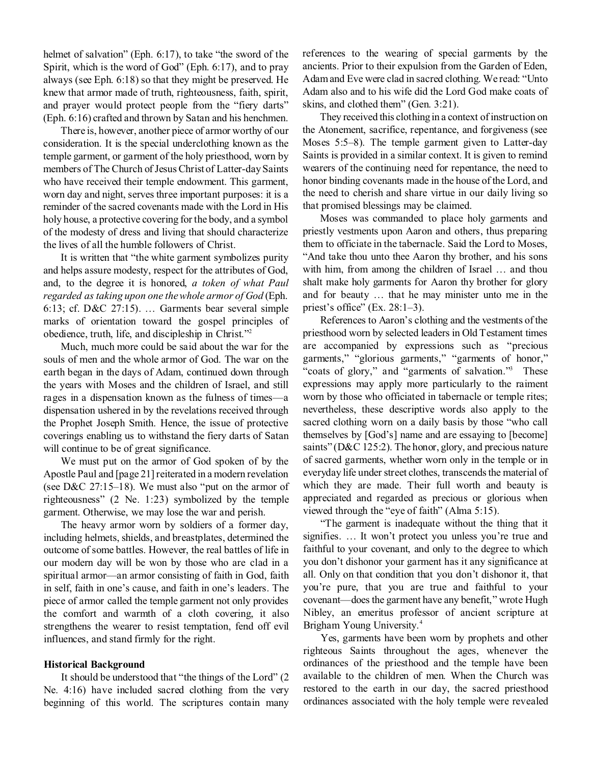helmet of salvation" (Eph. 6:17), to take "the sword of the Spirit, which is the word of God" (Eph. 6:17), and to pray always (see Eph. 6:18) so that they might be preserved. He knew that armor made of truth, righteousness, faith, spirit, and prayer would protect people from the "fiery darts" (Eph. 6:16) crafted and thrown by Satan and his henchmen.

There is, however, another piece of armor worthy of our consideration. It is the special underclothing known as the temple garment, or garment of the holy priesthood, worn by members of The Church of Jesus Christ of Latter-day Saints who have received their temple endowment. This garment, worn day and night, serves three important purposes: it is a reminder of the sacred covenants made with the Lord in His holy house, a protective covering for the body, and a symbol of the modesty of dress and living that should characterize the lives of all the humble followers of Christ.

It is written that "the white garment symbolizes purity and helps assure modesty, respect for the attributes of God, and, to the degree it is honored, *a token of what Paul regarded as taking upon one the whole armor of God* (Eph. 6:13; cf. D&C 27:15). … Garments bear several simple marks of orientation toward the gospel principles of obedience, truth, life, and discipleship in Christ."<sup>2</sup>

Much, much more could be said about the war for the souls of men and the whole armor of God. The war on the earth began in the days of Adam, continued down through the years with Moses and the children of Israel, and still rages in a dispensation known as the fulness of times—a dispensation ushered in by the revelations received through the Prophet Joseph Smith. Hence, the issue of protective coverings enabling us to withstand the fiery darts of Satan will continue to be of great significance.

We must put on the armor of God spoken of by the Apostle Paul and [page 21] reiterated in a modern revelation (see D&C 27:15–18). We must also "put on the armor of righteousness" (2 Ne. 1:23) symbolized by the temple garment. Otherwise, we may lose the war and perish.

The heavy armor worn by soldiers of a former day, including helmets, shields, and breastplates, determined the outcome of some battles. However, the real battles of life in our modern day will be won by those who are clad in a spiritual armor—an armor consisting of faith in God, faith in self, faith in one's cause, and faith in one's leaders. The piece of armor called the temple garment not only provides the comfort and warmth of a cloth covering, it also strengthens the wearer to resist temptation, fend off evil influences, and stand firmly for the right.

#### **Historical Background**

It should be understood that "the things of the Lord" (2 Ne. 4:16) have included sacred clothing from the very beginning of this world. The scriptures contain many references to the wearing of special garments by the ancients. Prior to their expulsion from the Garden of Eden, Adam and Eve were clad in sacred clothing. We read: "Unto Adam also and to his wife did the Lord God make coats of skins, and clothed them" (Gen. 3:21).

They received this clothing in a context of instruction on the Atonement, sacrifice, repentance, and forgiveness (see Moses 5:5–8). The temple garment given to Latter-day Saints is provided in a similar context. It is given to remind wearers of the continuing need for repentance, the need to honor binding covenants made in the house of the Lord, and the need to cherish and share virtue in our daily living so that promised blessings may be claimed.

Moses was commanded to place holy garments and priestly vestments upon Aaron and others, thus preparing them to officiate in the tabernacle. Said the Lord to Moses, "And take thou unto thee Aaron thy brother, and his sons with him, from among the children of Israel … and thou shalt make holy garments for Aaron thy brother for glory and for beauty … that he may minister unto me in the priest's office" (Ex. 28:1–3).

References to Aaron's clothing and the vestments of the priesthood worn by selected leaders in Old Testament times are accompanied by expressions such as "precious garments," "glorious garments," "garments of honor," "coats of glory," and "garments of salvation."<sup>3</sup> These expressions may apply more particularly to the raiment worn by those who officiated in tabernacle or temple rites; nevertheless, these descriptive words also apply to the sacred clothing worn on a daily basis by those "who call themselves by [God's] name and are essaying to [become] saints" (D&C 125:2). The honor, glory, and precious nature of sacred garments, whether worn only in the temple or in everyday life under street clothes, transcends the material of which they are made. Their full worth and beauty is appreciated and regarded as precious or glorious when viewed through the "eye of faith" (Alma 5:15).

"The garment is inadequate without the thing that it signifies. … It won't protect you unless you're true and faithful to your covenant, and only to the degree to which you don't dishonor your garment has it any significance at all. Only on that condition that you don't dishonor it, that you're pure, that you are true and faithful to your covenant—does the garment have any benefit," wrote Hugh Nibley, an emeritus professor of ancient scripture at Brigham Young University.<sup>4</sup>

Yes, garments have been worn by prophets and other righteous Saints throughout the ages, whenever the ordinances of the priesthood and the temple have been available to the children of men. When the Church was restored to the earth in our day, the sacred priesthood ordinances associated with the holy temple were revealed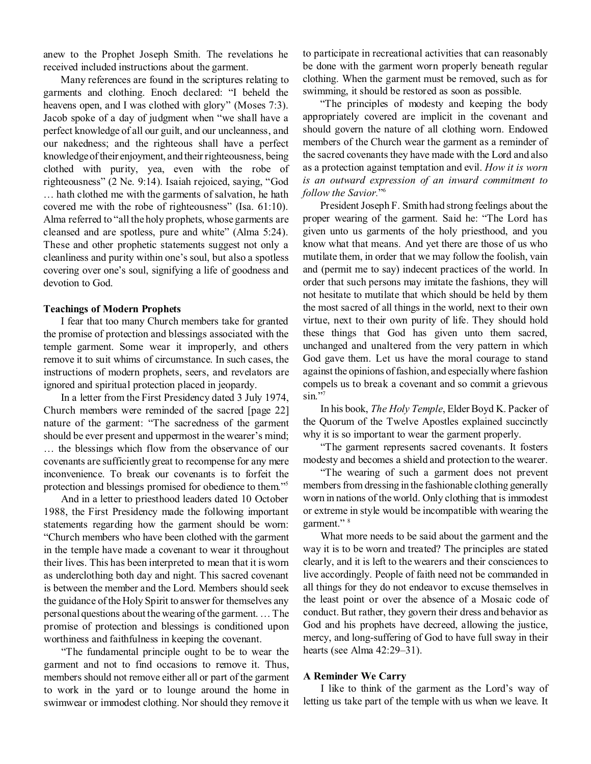anew to the Prophet Joseph Smith. The revelations he received included instructions about the garment.

Many references are found in the scriptures relating to garments and clothing. Enoch declared: "I beheld the heavens open, and I was clothed with glory" (Moses 7:3). Jacob spoke of a day of judgment when "we shall have a perfect knowledge of all our guilt, and our uncleanness, and our nakedness; and the righteous shall have a perfect knowledge of their enjoyment, and their righteousness, being clothed with purity, yea, even with the robe of righteousness" (2 Ne. 9:14). Isaiah rejoiced, saying, "God … hath clothed me with the garments of salvation, he hath covered me with the robe of righteousness" (Isa. 61:10). Alma referred to "all the holy prophets, whose garments are cleansed and are spotless, pure and white" (Alma 5:24). These and other prophetic statements suggest not only a cleanliness and purity within one's soul, but also a spotless covering over one's soul, signifying a life of goodness and devotion to God.

### **Teachings of Modern Prophets**

I fear that too many Church members take for granted the promise of protection and blessings associated with the temple garment. Some wear it improperly, and others remove it to suit whims of circumstance. In such cases, the instructions of modern prophets, seers, and revelators are ignored and spiritual protection placed in jeopardy.

In a letter from the First Presidency dated 3 July 1974, Church members were reminded of the sacred [page 22] nature of the garment: "The sacredness of the garment should be ever present and uppermost in the wearer's mind; … the blessings which flow from the observance of our covenants are sufficiently great to recompense for any mere inconvenience. To break our covenants is to forfeit the protection and blessings promised for obedience to them."<sup>5</sup>

And in a letter to priesthood leaders dated 10 October 1988, the First Presidency made the following important statements regarding how the garment should be worn: "Church members who have been clothed with the garment in the temple have made a covenant to wear it throughout their lives. This has been interpreted to mean that it is worn as underclothing both day and night. This sacred covenant is between the member and the Lord. Members should seek the guidance of the Holy Spirit to answer for themselves any personal questions about the wearing of the garment. … The promise of protection and blessings is conditioned upon worthiness and faithfulness in keeping the covenant.

"The fundamental principle ought to be to wear the garment and not to find occasions to remove it. Thus, members should not remove either all or part of the garment to work in the yard or to lounge around the home in swimwear or immodest clothing. Nor should they remove it to participate in recreational activities that can reasonably be done with the garment worn properly beneath regular clothing. When the garment must be removed, such as for swimming, it should be restored as soon as possible.

"The principles of modesty and keeping the body appropriately covered are implicit in the covenant and should govern the nature of all clothing worn. Endowed members of the Church wear the garment as a reminder of the sacred covenants they have made with the Lord and also as a protection against temptation and evil. *How it is worn is an outward expression of an inward commitment to follow the Savior.*" 6

President Joseph F. Smith had strong feelings about the proper wearing of the garment. Said he: "The Lord has given unto us garments of the holy priesthood, and you know what that means. And yet there are those of us who mutilate them, in order that we may follow the foolish, vain and (permit me to say) indecent practices of the world. In order that such persons may imitate the fashions, they will not hesitate to mutilate that which should be held by them the most sacred of all things in the world, next to their own virtue, next to their own purity of life. They should hold these things that God has given unto them sacred, unchanged and unaltered from the very pattern in which God gave them. Let us have the moral courage to stand against the opinions of fashion, and especially where fashion compels us to break a covenant and so commit a grievous sin."7

In his book, *The Holy Temple*, Elder Boyd K. Packer of the Quorum of the Twelve Apostles explained succinctly why it is so important to wear the garment properly.

"The garment represents sacred covenants. It fosters modesty and becomes a shield and protection to the wearer.

"The wearing of such a garment does not prevent members from dressing in the fashionable clothing generally worn in nations of the world. Only clothing that is immodest or extreme in style would be incompatible with wearing the garment."<sup>8</sup>

What more needs to be said about the garment and the way it is to be worn and treated? The principles are stated clearly, and it is left to the wearers and their consciences to live accordingly. People of faith need not be commanded in all things for they do not endeavor to excuse themselves in the least point or over the absence of a Mosaic code of conduct. But rather, they govern their dress and behavior as God and his prophets have decreed, allowing the justice, mercy, and long-suffering of God to have full sway in their hearts (see Alma 42:29–31).

#### **A Reminder We Carry**

I like to think of the garment as the Lord's way of letting us take part of the temple with us when we leave. It